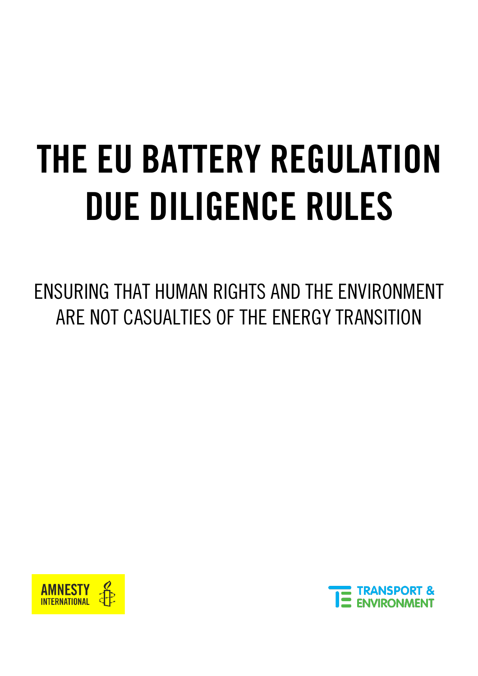# THE EU BATTERY REGULATION DUE DILIGENCE RULES

ENSURING THAT HUMAN RIGHTS AND THE ENVIRONMENT ARE NOT CASUALTIES OF THE ENERGY TRANSITION



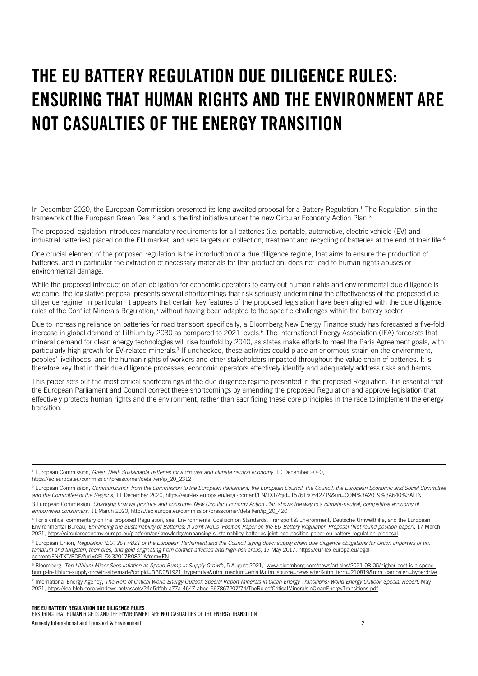## THE EU BATTERY REGULATION DUE DILIGENCE RULES: ENSURING THAT HUMAN RIGHTS AND THE ENVIRONMENT ARE NOT CASUALTIES OF THE ENERGY TRANSITION

In December 2020, the European Commission presented its long-awaited proposal for a Battery Regulation.<sup>1</sup> The Regulation is in the framework of the European Green Deal,<sup>2</sup> and is the first initiative under the new Circular Economy Action Plan.<sup>3</sup>

The proposed legislation introduces mandatory requirements for all batteries (i.e. portable, automotive, electric vehicle (EV) and industrial batteries) placed on the EU market, and sets targets on collection, treatment and recycling of batteries at the end of their life.<sup>4</sup>

One crucial element of the proposed regulation is the introduction of a due diligence regime, that aims to ensure the production of batteries, and in particular the extraction of necessary materials for that production, does not lead to human rights abuses or environmental damage.

While the proposed introduction of an obligation for economic operators to carry out human rights and environmental due diligence is welcome, the legislative proposal presents several shortcomings that risk seriously undermining the effectiveness of the proposed due diligence regime. In particular, it appears that certain key features of the proposed legislation have been aligned with the due diligence rules of the Conflict Minerals Regulation,<sup>5</sup> without having been adapted to the specific challenges within the battery sector.

Due to increasing reliance on batteries for road transport specifically, a Bloomberg New Energy Finance study has forecasted a five-fold increase in global demand of Lithium by 2030 as compared to 2021 levels.<sup>6</sup> The International Energy Association (IEA) forecasts that mineral demand for clean energy technologies will rise fourfold by 2040, as states make efforts to meet the Paris Agreement goals, with particularly high growth for EV-related minerals.<sup>7</sup> If unchecked, these activities could place an enormous strain on the environment, peoples' livelihoods, and the human rights of workers and other stakeholders impacted throughout the value chain of batteries. It is therefore key that in their due diligence processes, economic operators effectively identify and adequately address risks and harms.

This paper sets out the most critical shortcomings of the due diligence regime presented in the proposed Regulation. It is essential that the European Parliament and Council correct these shortcomings by amending the proposed Regulation and approve legislation that effectively protects human rights and the environment, rather than sacrificing these core principles in the race to implement the energy transition.

<sup>1</sup> European Commission, *Green Deal: Sustainable batteries for a circular and climate neutral economy,* 10 December 2020, [https://ec.europa.eu/commission/presscorner/detail/en/ip\\_20\\_2312](https://ec.europa.eu/commission/presscorner/detail/en/ip_20_2312)

<sup>5</sup> European Union, *Regulation (EU) 2017/821 of the European Parliament and the Council laying down supply chain due diligence obligations for Union importers of tin, tantalum and tungsten, their ores, and gold originating from conflict-affected and high-risk areas*, 17 May 2017[, https://eur-lex.europa.eu/legal](https://eur-lex.europa.eu/legal-content/EN/TXT/PDF/?uri=CELEX:32017R0821&from=EN)[content/EN/TXT/PDF/?uri=CELEX:32017R0821&from=EN](https://eur-lex.europa.eu/legal-content/EN/TXT/PDF/?uri=CELEX:32017R0821&from=EN)

<sup>6</sup> Bloomberg, Top Lithium Miner Sees Inflation as Speed Bump in Supply Growth, 5 August 2021, [www.bloomberg.com/news/articles/2021-08-05/higher-cost-is-a-speed](http://www.bloomberg.com/news/articles/2021-08-05/higher-cost-is-a-speed-bump-in-lithium-supply-growth-albemarle?cmpid=BBD081921_hyperdrive&utm_medium=email&utm_source=newsletter&utm_term=210819&utm_campaign=hyperdrive)[bump-in-lithium-supply-growth-albemarle?cmpid=BBD081921\\_hyperdrive&utm\\_medium=email&utm\\_source=newsletter&utm\\_term=210819&utm\\_campaign=hyperdrive](http://www.bloomberg.com/news/articles/2021-08-05/higher-cost-is-a-speed-bump-in-lithium-supply-growth-albemarle?cmpid=BBD081921_hyperdrive&utm_medium=email&utm_source=newsletter&utm_term=210819&utm_campaign=hyperdrive)

THE EU BATTERY REGULATION DUE DILIGENCE RULES ENSURING THAT HUMAN RIGHTS AND THE ENVIRONMENT ARE NOT CASUALTIES OF THE ENERGY TRANSITION Amnesty International and Transport & Environment 2

<sup>&</sup>lt;sup>2</sup> European Commission, *Communication from the Commission to the European Parliament, the European Council, the Curopean Economic and Social Committee and the Committee of the Regions*, 11 December 2020, <https://eur-lex.europa.eu/legal-content/EN/TXT/?qid=1576150542719&uri=COM%3A2019%3A640%3AFIN> 3 European Commission, *Changing how we produce and consume: New Circular Economy Action Plan shows the way to a climate-neutral, competitive economy of empowered consumers*, 11 March 2020[, https://ec.europa.eu/commission/presscorner/detail/en/ip\\_20\\_420](https://ec.europa.eu/commission/presscorner/detail/en/ip_20_420)

<sup>4</sup> For a critical commentary on the proposed Regulation, see: Environmental Coalition on Standards, Transport & Environment, Deutsche Umwelthilfe, and the European Environmental Bureau, *Enhancing the Sustainability of Batteries: A Joint NGOs' Position Paper on the EU Battery Regulation Proposal (first round position paper),* 17 March 2021[, https://circulareconomy.europa.eu/platform/en/knowledge/enhancing-sustainability-batteries-joint-ngo-position-paper-eu-battery-regulation-proposal](https://circulareconomy.europa.eu/platform/en/knowledge/enhancing-sustainability-batteries-joint-ngo-position-paper-eu-battery-regulation-proposal)

<sup>7</sup> International Energy Agency, *The Role of Critical World Energy Outlook Special Report Minerals in Clean Energy Transitions: World Energy Outlook Special Report,* May 2021[, https://iea.blob.core.windows.net/assets/24d5dfbb-a77a-4647-abcc-667867207f74/TheRoleofCriticalMineralsinCleanEnergyTransitions.pdf](https://iea.blob.core.windows.net/assets/24d5dfbb-a77a-4647-abcc-667867207f74/TheRoleofCriticalMineralsinCleanEnergyTransitions.pdf)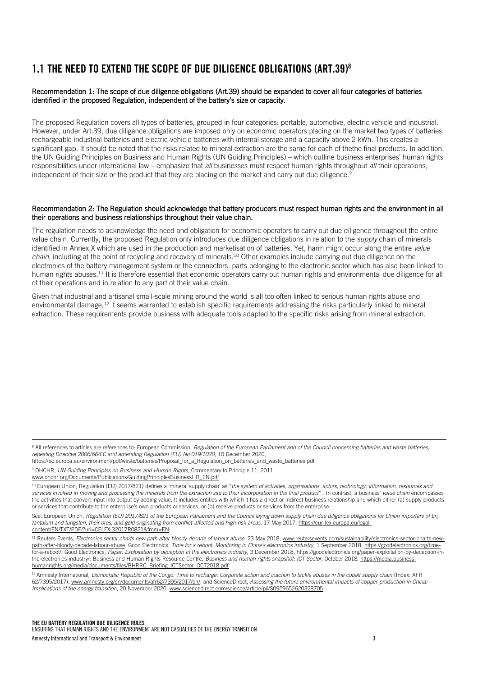## 1.1 THE NEED TO EXTEND THE SCOPE OF DUE DILIGENCE OBLIGATIONS (ART.39)<sup>8</sup>

## Recommendation 1: The scope of due diligence obligations (Art.39) should be expanded to cover all four categories of batteries identified in the proposed Regulation, independent of the battery's size or capacity.

The proposed Regulation covers all types of batteries, grouped in four categories: portable, automotive, electric vehicle and industrial. However, under Art.39, due diligence obligations are imposed only on economic operators placing on the market two types of batteries: rechargeable industrial batteries and electric-vehicle batteries with internal storage and a capacity above 2 kWh. This creates a significant gap. It should be noted that the risks related to mineral extraction are the same for each of thethe final products. In addition, the UN Guiding Principles on Business and Human Rights (UN Guiding Principles) – which outline business enterprises' human rights responsibilities under international law – emphasize that *all* businesses must respect human rights throughout *all* their operations, independent of their size or the product that they are placing on the market and carry out due diligence.<sup>9</sup>

#### Recommendation 2: The Regulation should acknowledge that battery producers must respect human rights and the environment in all their operations and business relationships throughout their value chain.

The regulation needs to acknowledge the need and obligation for economic operators to carry out due diligence throughout the entire value chain. Currently, the proposed Regulation only introduces due diligence obligations in relation to the *supply* chain of minerals identified in Annex X which are used in the production and marketisation of batteries. Yet, harm might occur along the entire *value chain*, including at the point of recycling and recovery of minerals.<sup>10</sup> Other examples include carrying out due diligence on the electronics of the battery management system or the connectors, parts belonging to the electronic sector which has also been linked to human rights abuses.<sup>11</sup> It is therefore essential that economic operators carry out human rights and environmental due diligence for all of their operations and in relation to any part of their value chain.

Given that industrial and artisanal small-scale mining around the world is all too often linked to serious human rights abuse and environmental damage,<sup>12</sup> it seems warranted to establish specific requirements addressing the risks particularly linked to mineral extraction. These requirements provide business with adequate tools adapted to the specific risks arising from mineral extraction.

- https:[//ec.europa.eu/environment/pdf/waste/batteries/Proposal\\_for\\_a\\_Regulation\\_on\\_batteries\\_and\\_waste\\_batteries.pdf](https://ec.europa.eu/environment/pdf/waste/batteries/Proposal_for_a_Regulation_on_batteries_and_waste_batteries.pdf)
- <sup>9</sup> OHCHR, *UN Guiding Principles on Business and Human Rights*, Commentary to Principle 11, 2011,

[www.ohchr.org/Documents/Publications/GuidingPrinciplesBusinessHR\\_EN.pdf](http://www.ohchr.org/Documents/Publications/GuidingPrinciplesBusinessHR_EN.pdf)

<sup>&</sup>lt;sup>8</sup> All references to articles are references to: European Commission, Regulation of the European Parliament and of the Council concerning batteries and waste batteries, *repealing Directive 2006/66/EC and amending Regulation (EU) No 019/1020*, 10 December 2020,

<sup>&</sup>lt;sup>10</sup> European Union, Regulation (EU) 2017/821) defines a 'mineral supply chain' as "the system of activities, organisations, actors, technology, information, resources and *services involved in moving and processing the minerals from the extraction site to their incorporation in the final product*". In contrast, a business' *value chain* encompasses the activities that convert input into output by adding value. It includes entities with which it has a direct or indirect business relationship and which either (a) supply products or services that contribute to the enterprise's own products or services, or (b) receive products or services from the enterprise.

See: European Union, Regulation (EU) 2017/821 of the European Parliament and the Council laying down supply chain due diligence obligations for Union importers of tin, *tantalum and tungsten, their ores, and gold originating from conflict-affected and high-risk areas*, 17 May 2017[, https://eur-lex.europa.eu/legal](https://eur-lex.europa.eu/legal-content/EN/TXT/PDF/?uri=CELEX:32017R0821&from=EN)[content/EN/TXT/PDF/?uri=CELEX:32017R0821&from=EN;](https://eur-lex.europa.eu/legal-content/EN/TXT/PDF/?uri=CELEX:32017R0821&from=EN)

<sup>&</sup>lt;sup>11</sup> Reuters Events, *Electronics sector charts new path after bloody decade of labour abuse*, 23 May 2018[, www.reutersevents.com/sustainability/electronics-sector-charts-new](http://www.reutersevents.com/sustainability/electronics-sector-charts-new-path-after-bloody-decade-labour-abuse)[path-after-bloody-decade-labour-abuse;](http://www.reutersevents.com/sustainability/electronics-sector-charts-new-path-after-bloody-decade-labour-abuse) Good Electronics, *Time for a reboot: Monitoring in China's electronics industry,* 1 September 2018[, https://goodelectronics.org/time](https://goodelectronics.org/time-for-a-reboot/)[for-a-reboot/;](https://goodelectronics.org/time-for-a-reboot/) Good Electronics, *Paper: Exploitation by deception in the electronics industry,* 3 December 2018[, https://goodelectronics.org/paper-exploitation-by-deception-in](https://goodelectronics.org/paper-exploitation-by-deception-in-the-electronics-industry/)[the-electronics-industry/;](https://goodelectronics.org/paper-exploitation-by-deception-in-the-electronics-industry/) Business and Human Rights Resource Centre, *Business and human rights snapshot: ICT Sector*, October 2018, https://media.businesshumanrights.org/media/documents/files/BHRRC\_Briefing\_ICTSector\_OCT2018.pdf

<sup>&</sup>lt;sup>12</sup> Amnesty International, *Democratic Republic of the Congo: Time to recharge: Corporate action and inaction to tackle abuses in the cobalt supply chain (Index: AFR* 62/7395/2017), [www.amnesty.org/en/documents/afr62/7395/2017/en/;](http://www.amnesty.org/en/documents/afr62/7395/2017/en/) and ScienceDirect, *Assessing the future environmental impacts of copper production in China: Implications of the energy transition*, 20 November 2020, [www.sciencedirect.com/science/article/pii/S0959652620328705](http://www.sciencedirect.com/science/article/pii/S0959652620328705)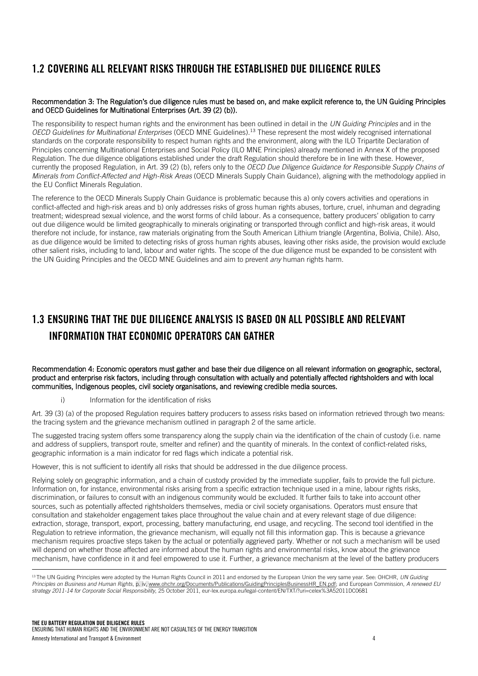## 1.2 COVERING ALL RELEVANT RISKS THROUGH THE ESTABLISHED DUE DILIGENCE RULES

## Recommendation 3: The Regulation's due diligence rules must be based on, and make explicit reference to, the UN Guiding Principles and OECD Guidelines for Multinational Enterprises (Art. 39 (2) (b)).

The responsibility to respect human rights and the environment has been outlined in detail in the *UN Guiding Principles* and in the *OECD Guidelines for Multinational Enterprises* (OECD MNE Guidelines).<sup>13</sup> These represent the most widely recognised international standards on the corporate responsibility to respect human rights and the environment, along with the ILO Tripartite Declaration of Principles concerning Multinational Enterprises and Social Policy (ILO MNE Principles) already mentioned in Annex X of the proposed Regulation. The due diligence obligations established under the draft Regulation should therefore be in line with these. However, currently the proposed Regulation, in Art. 39 (2) (b), refers only to the *OECD Due Diligence Guidance for Responsible Supply Chains of Minerals from Conflict-Affected and High-Risk Areas* (OECD Minerals Supply Chain Guidance), aligning with the methodology applied in the EU Conflict Minerals Regulation.

The reference to the OECD Minerals Supply Chain Guidance is problematic because this a) only covers activities and operations in conflict-affected and high-risk areas and b) only addresses risks of gross human rights abuses, torture, cruel, inhuman and degrading treatment; widespread sexual violence, and the worst forms of child labour. As a consequence, battery producers' obligation to carry out due diligence would be limited geographically to minerals originating or transported through conflict and high-risk areas, it would therefore not include, for instance, raw materials originating from the South American Lithium triangle (Argentina, Bolivia, Chile). Also, as due diligence would be limited to detecting risks of gross human rights abuses, leaving other risks aside, the provision would exclude other salient risks, including to land, labour and water rights. The scope of the due diligence must be expanded to be consistent with the UN Guiding Principles and the OECD MNE Guidelines and aim to prevent *any* human rights harm.

## 1.3 ENSURING THAT THE DUE DILIGENCE ANALYSIS IS BASED ON ALL POSSIBLE AND RELEVANT INFORMATION THAT ECONOMIC OPERATORS CAN GATHER

Recommendation 4: Economic operators must gather and base their due diligence on all relevant information on geographic, sectoral, product and enterprise risk factors, including through consultation with actually and potentially affected rightsholders and with local communities, Indigenous peoples, civil society organisations, and reviewing credible media sources.

i) Information for the identification of risks

Art. 39 (3) (a) of the proposed Regulation requires battery producers to assess risks based on information retrieved through two means: the tracing system and the grievance mechanism outlined in paragraph 2 of the same article.

The suggested tracing system offers some transparency along the supply chain via the identification of the chain of custody (i.e. name and address of suppliers, transport route, smelter and refiner) and the quantity of minerals. In the context of conflict-related risks, geographic information is a main indicator for red flags which indicate a potential risk.

However, this is not sufficient to identify all risks that should be addressed in the due diligence process.

Relying solely on geographic information, and a chain of custody provided by the immediate supplier, fails to provide the full picture. Information on, for instance, environmental risks arising from a specific extraction technique used in a mine, labour rights risks, discrimination, or failures to consult with an indigenous community would be excluded. It further fails to take into account other sources, such as potentially affected rightsholders themselves, media or civil society organisations. Operators must ensure that consultation and stakeholder engagement takes place throughout the value chain and at every relevant stage of due diligence: extraction, storage, transport, export, processing, battery manufacturing, end usage, and recycling. The second tool identified in the Regulation to retrieve information, the grievance mechanism, will equally not fill this information gap. This is because a grievance mechanism requires proactive steps taken by the actual or potentially aggrieved party. Whether or not such a mechanism will be used will depend on whether those affected are informed about the human rights and environmental risks, know about the grievance mechanism, have confidence in it and feel empowered to use it. Further, a grievance mechanism at the level of the battery producers

<sup>13</sup> The UN Guiding Principles were adopted by the Human Rights Council in 2011 and endorsed by the European Union the very same year. See: OHCHR, *UN Guiding Principles on Business and Human Rights*, p. iv[, www.ohchr.org/Documents/Publications/GuidingPrinciplesBusinessHR\\_EN.pdf;](http://www.ohchr.org/Documents/Publications/GuidingPrinciplesBusinessHR_EN.pdf) and European Commission, *A renewed EU strategy 2011-14 for Corporate Social Responsibility*, 25 October 2011, eur-lex.europa.eu/legal-content/EN/TXT/?uri=celex%3A52011DC0681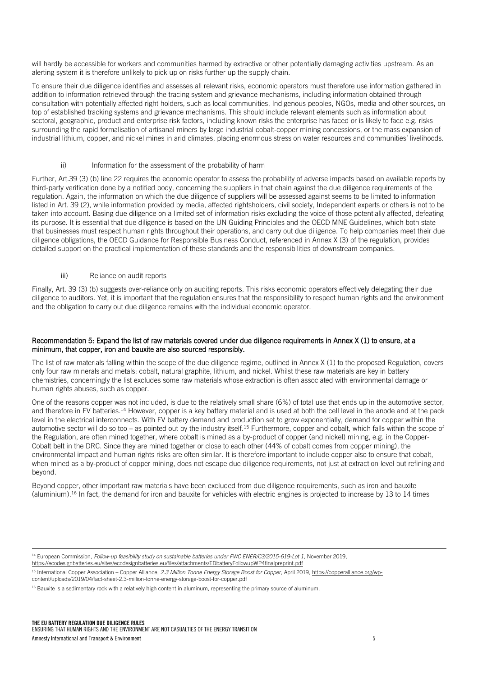will hardly be accessible for workers and communities harmed by extractive or other potentially damaging activities upstream. As an alerting system it is therefore unlikely to pick up on risks further up the supply chain.

To ensure their due diligence identifies and assesses all relevant risks, economic operators must therefore use information gathered in addition to information retrieved through the tracing system and grievance mechanisms, including information obtained through consultation with potentially affected right holders, such as local communities, Indigenous peoples, NGOs, media and other sources, on top of established tracking systems and grievance mechanisms. This should include relevant elements such as information about sectoral, geographic, product and enterprise risk factors, including known risks the enterprise has faced or is likely to face e.g. risks surrounding the rapid formalisation of artisanal miners by large industrial cobalt-copper mining concessions, or the mass expansion of industrial lithium, copper, and nickel mines in arid climates, placing enormous stress on water resources and communities' livelihoods.

## ii) Information for the assessment of the probability of harm

Further, Art.39 (3) (b) line 22 requires the economic operator to assess the probability of adverse impacts based on available reports by third-party verification done by a notified body, concerning the suppliers in that chain against the due diligence requirements of the regulation. Again, the information on which the due diligence of suppliers will be assessed against seems to be limited to information listed in Art. 39 (2), while information provided by media, affected rightsholders, civil society, Independent experts or others is not to be taken into account. Basing due diligence on a limited set of information risks excluding the voice of those potentially affected, defeating its purpose. It is essential that due diligence is based on the UN Guiding Principles and the OECD MNE Guidelines, which both state that businesses must respect human rights throughout their operations, and carry out due diligence. To help companies meet their due diligence obligations, the OECD Guidance for Responsible Business Conduct, referenced in Annex X (3) of the regulation, provides detailed support on the practical implementation of these standards and the responsibilities of downstream companies.

#### iii) Reliance on audit reports

Finally, Art. 39 (3) (b) suggests over-reliance only on auditing reports. This risks economic operators effectively delegating their due diligence to auditors. Yet, it is important that the regulation ensures that the responsibility to respect human rights and the environment and the obligation to carry out due diligence remains with the individual economic operator.

#### Recommendation 5: Expand the list of raw materials covered under due diligence requirements in Annex X (1) to ensure, at a minimum, that copper, iron and bauxite are also sourced responsibly.

The list of raw materials falling within the scope of the due diligence regime, outlined in Annex X (1) to the proposed Regulation, covers only four raw minerals and metals: cobalt, natural graphite, lithium, and nickel. Whilst these raw materials are key in battery chemistries, concerningly the list excludes some raw materials whose extraction is often associated with environmental damage or human rights abuses, such as copper.

One of the reasons copper was not included, is due to the relatively small share (6%) of total use that ends up in the automotive sector, and therefore in EV batteries.<sup>14</sup> However, copper is a key battery material and is used at both the cell level in the anode and at the pack level in the electrical interconnects. With EV battery demand and production set to grow exponentially, demand for copper within the automotive sector will do so too – as pointed out by the industry itself.<sup>15</sup> Furthermore, copper and cobalt, which falls within the scope of the Regulation, are often mined together, where cobalt is mined as a by-product of copper (and nickel) mining, e.g. in the Copper-Cobalt belt in the DRC. Since they are mined together or close to each other (44% of cobalt comes from copper mining), the environmental impact and human rights risks are often similar. It is therefore important to include copper also to ensure that cobalt, when mined as a by-product of copper mining, does not escape due diligence requirements, not just at extraction level but refining and beyond.

Beyond copper, other important raw materials have been excluded from due diligence requirements, such as iron and bauxite (aluminium).<sup>16</sup> In fact, the demand for iron and bauxite for vehicles with electric engines is projected to increase by 13 to 14 times

<sup>14</sup> European Commission, *Follow-up feasibility study on sustainable batteries under FWC ENER/C3/2015-619-Lot 1*, November 2019,

<https://ecodesignbatteries.eu/sites/ecodesignbatteries.eu/files/attachments/EDbatteryFollowupWP4finalpreprint.pdf>

<sup>15</sup> International Copper Association – Copper Alliance, *2.3 Million Tonne Energy Storage Boost for Copper*, April 2019[, https://copperalliance.org/wp](https://copperalliance.org/wp-content/uploads/2019/04/fact-sheet-2.3-million-tonne-energy-storage-boost-for-copper.pdf)[content/uploads/2019/04/fact-sheet-2.3-million-tonne-energy-storage-boost-for-copper.pdf](https://copperalliance.org/wp-content/uploads/2019/04/fact-sheet-2.3-million-tonne-energy-storage-boost-for-copper.pdf)

<sup>&</sup>lt;sup>16</sup> Bauxite is a sedimentary rock with a relatively high content in aluminum, representing the primary source of aluminum.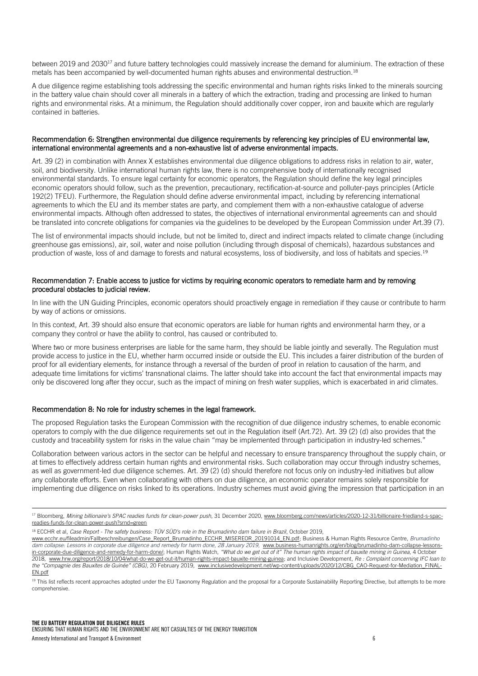between 2019 and 2030<sup>17</sup> and future battery technologies could massively increase the demand for aluminium. The extraction of these metals has been accompanied by well-documented human rights abuses and environmental destruction.<sup>18</sup>

A due diligence regime establishing tools addressing the specific environmental and human rights risks linked to the minerals sourcing in the battery value chain should cover all minerals in a battery of which the extraction, trading and processing are linked to human rights and environmental risks. At a minimum, the Regulation should additionally cover copper, iron and bauxite which are regularly contained in batteries.

## Recommendation 6: Strengthen environmental due diligence requirements by referencing key principles of EU environmental law, international environmental agreements and a non-exhaustive list of adverse environmental impacts.

Art. 39 (2) in combination with Annex X establishes environmental due diligence obligations to address risks in relation to air, water, soil, and biodiversity. Unlike international human rights law, there is no comprehensive body of internationally recognised environmental standards. To ensure legal certainty for economic operators, the Regulation should define the key legal principles economic operators should follow, such as the prevention, precautionary, rectification-at-source and polluter-pays principles (Article 192(2) TFEU). Furthermore, the Regulation should define adverse environmental impact, including by referencing international agreements to which the EU and its member states are party, and complement them with a non-exhaustive catalogue of adverse environmental impacts. Although often addressed to states, the objectives of international environmental agreements can and should be translated into concrete obligations for companies via the guidelines to be developed by the European Commission under Art.39 (7).

The list of environmental impacts should include, but not be limited to, direct and indirect impacts related to climate change (including greenhouse gas emissions), air, soil, water and noise pollution (including through disposal of chemicals), hazardous substances and production of waste, loss of and damage to forests and natural ecosystems, loss of biodiversity, and loss of habitats and species.<sup>19</sup>

## Recommendation 7: Enable access to justice for victims by requiring economic operators to remediate harm and by removing procedural obstacles to judicial review.

In line with the UN Guiding Principles, economic operators should proactively engage in remediation if they cause or contribute to harm by way of actions or omissions.

In this context, Art. 39 should also ensure that economic operators are liable for human rights and environmental harm they, or a company they control or have the ability to control, has caused or contributed to.

Where two or more business enterprises are liable for the same harm, they should be liable jointly and severally. The Regulation must provide access to justice in the EU, whether harm occurred inside or outside the EU. This includes a fairer distribution of the burden of proof for all evidentiary elements, for instance through a reversal of the burden of proof in relation to causation of the harm, and adequate time limitations for victims' transnational claims. The latter should take into account the fact that environmental impacts may only be discovered long after they occur, such as the impact of mining on fresh water supplies, which is exacerbated in arid climates.

## Recommendation 8: No role for industry schemes in the legal framework.

i,

The proposed Regulation tasks the European Commission with the recognition of due diligence industry schemes, to enable economic operators to comply with the due diligence requirements set out in the Regulation itself (Art.72). Art. 39 (2) (d) also provides that the custody and traceability system for risks in the value chain "may be implemented through participation in industry-led schemes."

Collaboration between various actors in the sector can be helpful and necessary to ensure transparency throughout the supply chain, or at times to effectively address certain human rights and environmental risks. Such collaboration may occur through industry schemes, as well as government-led due diligence schemes. Art. 39 (2) (d) should therefore not focus only on industry-led initiatives but allow any collaborate efforts. Even when collaborating with others on due diligence, an economic operator remains solely responsible for implementing due diligence on risks linked to its operations. Industry schemes must avoid giving the impression that participation in an

<sup>&</sup>lt;sup>17</sup> Bloomberg, Mining billionaire's SPAC readies funds for clean-power push, 31 December 2020[, www.bloomberg.com/news/articles/2020-12-31/billionaire-friedland-s-spac](http://www.bloomberg.com/news/articles/2020-12-31/billionaire-friedland-s-spac-readies-funds-for-clean-power-push?srnd=green)[readies-funds-for-clean-power-push?srnd=green](http://www.bloomberg.com/news/articles/2020-12-31/billionaire-friedland-s-spac-readies-funds-for-clean-power-push?srnd=green)

<sup>18</sup> ECCHR et al, *Case Report - The safety business: TÜV SÜD's role in the Brumadinho dam failure in Brazil*, October 2019,

[www.ecchr.eu/fileadmin/Fallbeschreibungen/Case\\_Report\\_Brumadinho\\_ECCHR\\_MISEREOR\\_20191014\\_EN.pdf;](http://www.ecchr.eu/fileadmin/Fallbeschreibungen/Case_Report_Brumadinho_ECCHR_MISEREOR_20191014_EN.pdf) Business & Human Rights Resource Centre, *Brumadinho dam collapse: Lessons in corporate due diligence and remedy for harm done, 28 January 2019,* [www.business-humanrights.org/en/blog/brumadinho-dam-collapse-lessons](http://www.business-humanrights.org/en/blog/brumadinho-dam-collapse-lessons-in-corporate-due-diligence-and-remedy-for-harm-done/)[in-corporate-due-diligence-and-remedy-for-harm-done/;](http://www.business-humanrights.org/en/blog/brumadinho-dam-collapse-lessons-in-corporate-due-diligence-and-remedy-for-harm-done/) Human Rights Watch, *"What do we get out of it" The human rights impact of bauxite mining in Guinea*, 4 October 2018, [www.hrw.org/report/2018/10/04/what-do-we-get-out-it/human-rights-impact-bauxite-mining-guinea;](http://www.hrw.org/report/2018/10/04/what-do-we-get-out-it/human-rights-impact-bauxite-mining-guinea) and Inclusive Development, *Re : Complaint concerning IFC loan to the "Compagnie des Bauxites de Guinée" (CBG)*, 20 February 2019, [www.inclusivedevelopment.net/wp-content/uploads/2020/12/CBG\\_CAO-Request-for-Mediation\\_FINAL-](http://www.inclusivedevelopment.net/wp-content/uploads/2020/12/CBG_CAO-Request-for-Mediation_FINAL-EN.pdf)[EN.pdf](http://www.inclusivedevelopment.net/wp-content/uploads/2020/12/CBG_CAO-Request-for-Mediation_FINAL-EN.pdf)

<sup>&</sup>lt;sup>19</sup> This list reflects recent approaches adopted under the EU Taxonomy Regulation and the proposal for a Corporate Sustainability Reporting Directive, but attempts to be more comprehensive.